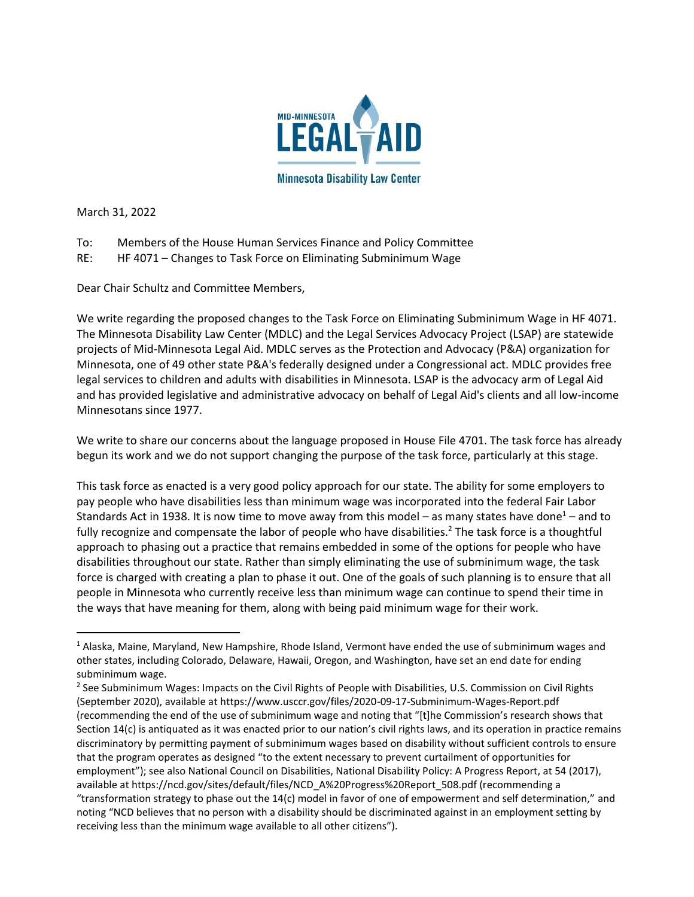

March 31, 2022

- To: Members of the House Human Services Finance and Policy Committee
- RE: HF 4071 Changes to Task Force on Eliminating Subminimum Wage

Dear Chair Schultz and Committee Members,

We write regarding the proposed changes to the Task Force on Eliminating Subminimum Wage in HF 4071. The Minnesota Disability Law Center (MDLC) and the Legal Services Advocacy Project (LSAP) are statewide projects of Mid-Minnesota Legal Aid. MDLC serves as the Protection and Advocacy (P&A) organization for Minnesota, one of 49 other state P&A's federally designed under a Congressional act. MDLC provides free legal services to children and adults with disabilities in Minnesota. LSAP is the advocacy arm of Legal Aid and has provided legislative and administrative advocacy on behalf of Legal Aid's clients and all low-income Minnesotans since 1977.

We write to share our concerns about the language proposed in House File 4701. The task force has already begun its work and we do not support changing the purpose of the task force, particularly at this stage.

This task force as enacted is a very good policy approach for our state. The ability for some employers to pay people who have disabilities less than minimum wage was incorporated into the federal Fair Labor Standards Act in 1938. It is now time to move away from this model – as many states have done<sup>1</sup> – and to fully recognize and compensate the labor of people who have disabilities.<sup>2</sup> The task force is a thoughtful approach to phasing out a practice that remains embedded in some of the options for people who have disabilities throughout our state. Rather than simply eliminating the use of subminimum wage, the task force is charged with creating a plan to phase it out. One of the goals of such planning is to ensure that all people in Minnesota who currently receive less than minimum wage can continue to spend their time in the ways that have meaning for them, along with being paid minimum wage for their work.

 $<sup>1</sup>$  Alaska, Maine, Maryland, New Hampshire, Rhode Island, Vermont have ended the use of subminimum wages and</sup> other states, including Colorado, Delaware, Hawaii, Oregon, and Washington, have set an end date for ending subminimum wage.

<sup>&</sup>lt;sup>2</sup> See Subminimum Wages: Impacts on the Civil Rights of People with Disabilities, U.S. Commission on Civil Rights (September 2020), available at https://www.usccr.gov/files/2020-09-17-Subminimum-Wages-Report.pdf (recommending the end of the use of subminimum wage and noting that "[t]he Commission's research shows that Section 14(c) is antiquated as it was enacted prior to our nation's civil rights laws, and its operation in practice remains discriminatory by permitting payment of subminimum wages based on disability without sufficient controls to ensure that the program operates as designed "to the extent necessary to prevent curtailment of opportunities for employment"); see also National Council on Disabilities, National Disability Policy: A Progress Report, at 54 (2017), available at https://ncd.gov/sites/default/files/NCD\_A%20Progress%20Report\_508.pdf (recommending a "transformation strategy to phase out the 14(c) model in favor of one of empowerment and self determination," and noting "NCD believes that no person with a disability should be discriminated against in an employment setting by receiving less than the minimum wage available to all other citizens").